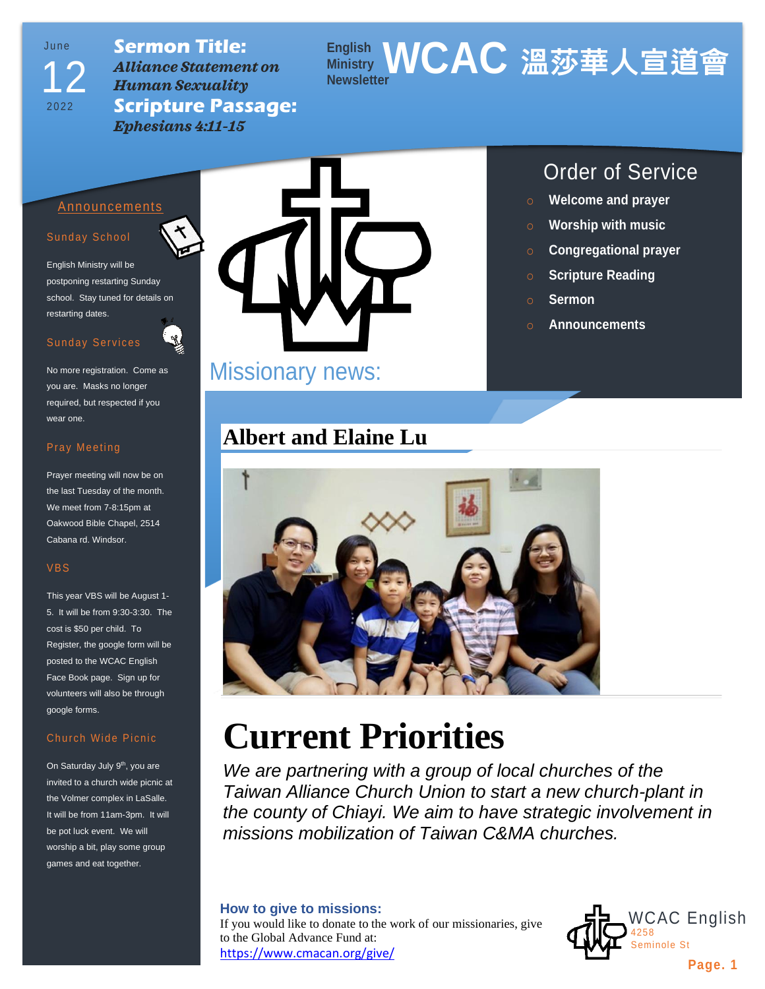Ju n e 2022 12

**Sermon Title:** *Alliance Statement on Human Sexuality* **Scripture Passage:** *Ephesians 4:11-15*

# **English Ministry WCAC 溫莎華人宣道會 Newsletter**

# Announcements

#### Sunday School

English Ministry will be postponing restarting Sunday school. Stay tuned for details on restarting dates.

## Sunday Services



## Pray Meeting

Prayer meeting will now be on the last Tuesday of the month. We meet from 7-8:15pm at Oakwood Bible Chapel, 2514 Cabana rd. Windsor.

#### VBS

This year VBS will be August 1- 5. It will be from 9:30-3:30. The cost is \$50 per child. To Register, the google form will be posted to the WCAC English Face Book page. Sign up for volunteers will also be through google forms.

## Church Wide Picnic

On Saturday July 9<sup>th</sup>, you are invited to a church wide picnic at the Volmer complex in LaSalle. It will be from 11am-3pm. It will be pot luck event. We will worship a bit, play some group games and eat together.



# Missionary news:

# **Albert and Elaine Lu**

# Order of Service

- o **Welcome and prayer**
- o **Worship with music**
- o **Congregational prayer**
- o **Scripture Reading**
- o **Sermon**
- o **Announcements**



# **Current Priorities**

*We are partnering with a group of local churches of the Taiwan Alliance Church Union to start a new church-plant in the county of Chiayi. We aim to have strategic involvement in missions mobilization of Taiwan C&MA churches.*

#### **How to give to missions:**

If you would like to donate to the work of our missionaries, give to the Global Advance Fund at: <https://www.cmacan.org/give/>